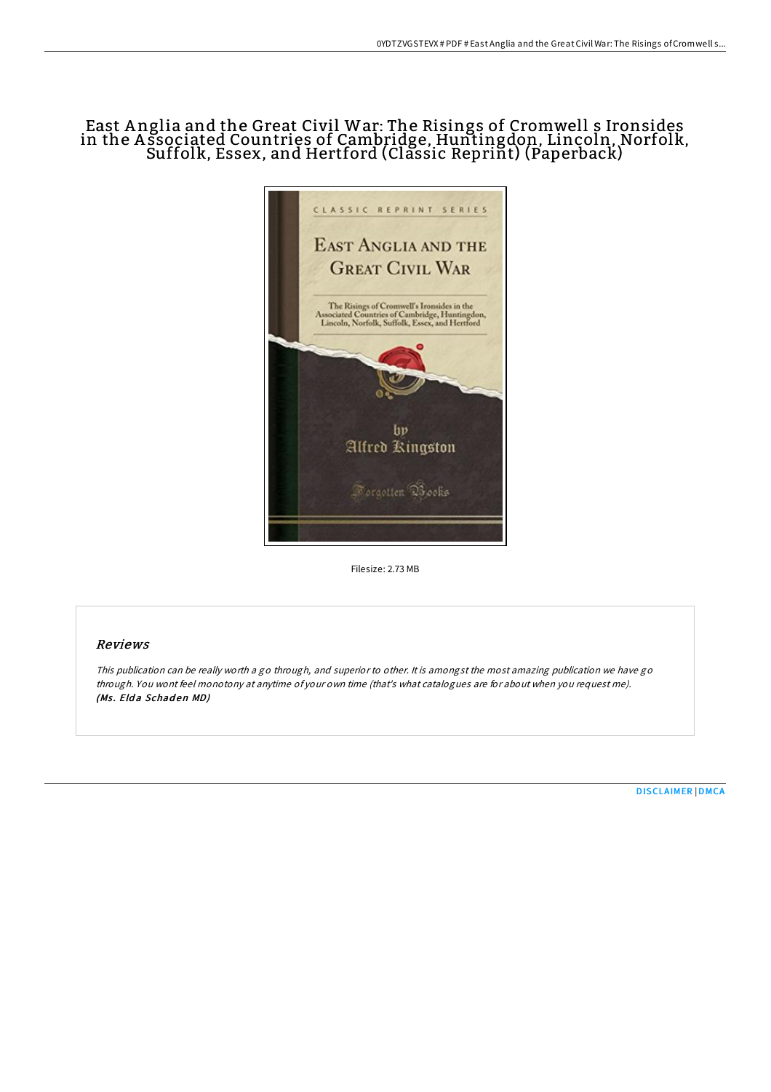# East A nglia and the Great Civil War: The Risings of Cromwell s Ironsides in the A ssociated Countries of Cambridge, Huntingdon, Lincoln, Norfolk, Suffolk, Essex, and Hertford (Classic Reprint) (Paperback)



Filesize: 2.73 MB

## Reviews

This publication can be really worth <sup>a</sup> go through, and superior to other. It is amongst the most amazing publication we have go through. You wont feel monotony at anytime of your own time (that's what catalogues are for about when you request me). (Ms. Elda Schaden MD)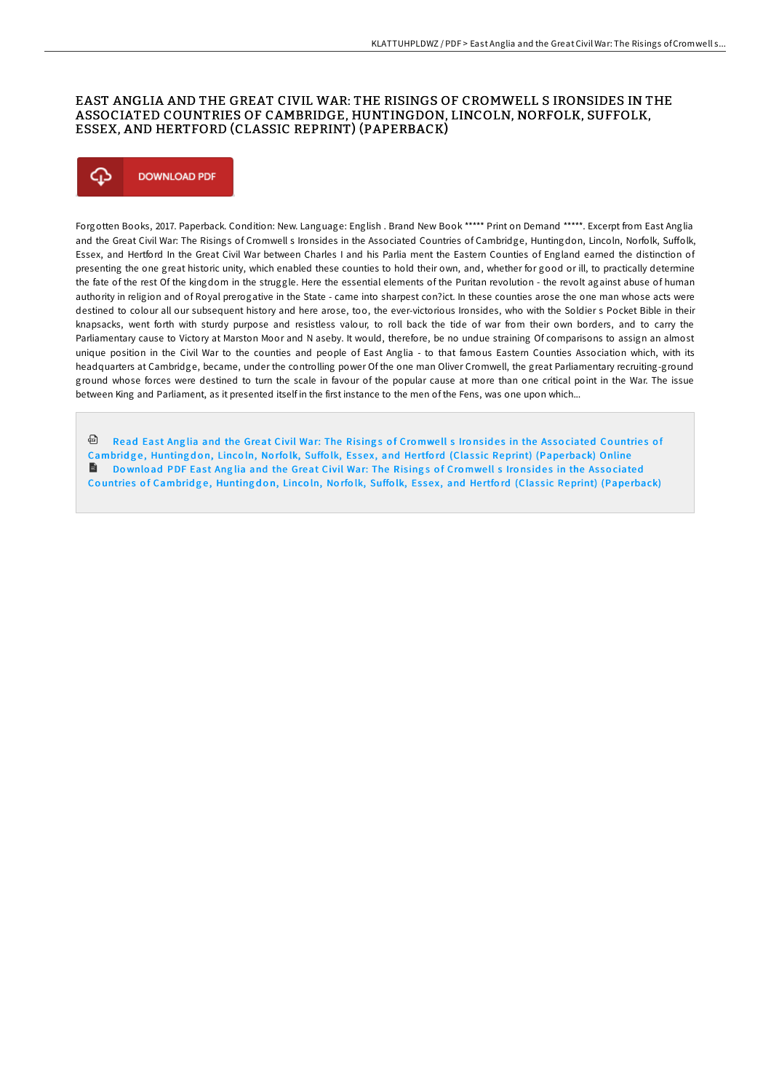## EAST ANGLIA AND THE GREAT CIVIL WAR: THE RISINGS OF CROMWELL S IRONSIDES IN THE ASSOCIATED COUNTRIES OF CAMBRIDGE, HUNTINGDON, LINCOLN, NORFOLK, SUFFOLK, ESSEX, AND HERTFORD (CLASSIC REPRINT) (PAPERBACK)



Forgotten Books, 2017. Paperback. Condition: New. Language: English . Brand New Book \*\*\*\*\* Print on Demand \*\*\*\*\*. Excerpt from East Anglia and the Great Civil War: The Risings of Cromwell s Ironsides in the Associated Countries of Cambridge, Huntingdon, Lincoln, Norfolk, Suffolk, Essex, and Hertford In the Great Civil War between Charles I and his Parlia ment the Eastern Counties of England earned the distinction of presenting the one great historic unity, which enabled these counties to hold their own, and, whether for good or ill, to practically determine the fate of the rest Of the kingdom in the struggle. Here the essential elements of the Puritan revolution - the revolt against abuse of human authority in religion and of Royal prerogative in the State - came into sharpest con?ict. In these counties arose the one man whose acts were destined to colour all our subsequent history and here arose, too, the ever-victorious Ironsides, who with the Soldier s Pocket Bible in their knapsacks, went forth with sturdy purpose and resistless valour, to roll back the tide of war from their own borders, and to carry the Parliamentary cause to Victory at Marston Moor and N aseby. It would, therefore, be no undue straining Of comparisons to assign an almost unique position in the Civil War to the counties and people of East Anglia - to that famous Eastern Counties Association which, with its headquarters at Cambridge, became, under the controlling power Of the one man Oliver Cromwell, the great Parliamentary recruiting-ground ground whose forces were destined to turn the scale in favour of the popular cause at more than one critical point in the War. The issue between King and Parliament, as it presented itself in the first instance to the men of the Fens, was one upon which...

<sup>回</sup> Read East Anglia and the Great Civil War: The Risings of Cromwell s Ironsides in the Associated Countries of [Cambrid](http://almighty24.tech/east-anglia-and-the-great-civil-war-the-risings-.html)ge, Huntingdon, Lincoln, Norfolk, Suffolk, Essex, and Hertford (Classic Reprint) (Paperback) Online Download PDF East Anglia and the Great Civil War: The Risings of Cromwell s Ironsides in the Associated Countries of [Cambrid](http://almighty24.tech/east-anglia-and-the-great-civil-war-the-risings-.html)ge, Huntingdon, Lincoln, Norfolk, Suffolk, Essex, and Hertford (Classic Reprint) (Paperback)